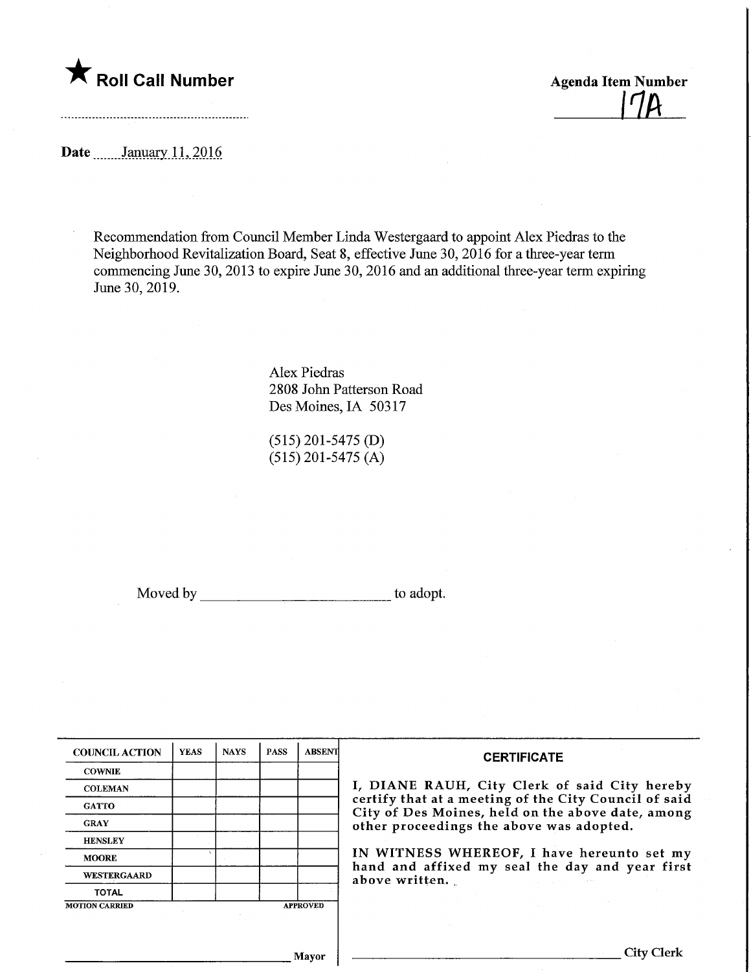## **The Roll Call Number** Agenda Item Number

 $17A$ 

Date ........January. 11, 2016

Recommendation from Council Member Linda Westergaard to appoint Alex Piedras to the Neighborhood Revitalization Board, Seat 8, effective June 30, 2016 for a three-year term commencing June 30, 2013 to expire June 30, 2016 and an additional three-year term expiring June 30,2019.

> Alex Piedras 2808 John Patterson Road Des Moines, IA 50317

(515) 201-5475 (D)  $(515)$  201-5475 (A)

Moved by to adopt.

| <b>COUNCIL ACTION</b> | <b>YEAS</b> | <b>NAYS</b> | <b>PASS</b> | <b>ABSENT</b>                                                                                              | <b>CERTIFICATE</b>                                                                                                                                         |  |
|-----------------------|-------------|-------------|-------------|------------------------------------------------------------------------------------------------------------|------------------------------------------------------------------------------------------------------------------------------------------------------------|--|
| <b>COWNIE</b>         |             |             |             |                                                                                                            |                                                                                                                                                            |  |
| <b>COLEMAN</b>        |             |             |             |                                                                                                            | I, DIANE RAUH, City Clerk of said City hereby                                                                                                              |  |
| <b>GATTO</b>          |             |             |             | certify that at a meeting of the City Council of said<br>City of Des Moines, held on the above date, among |                                                                                                                                                            |  |
| <b>GRAY</b>           |             |             |             |                                                                                                            | other proceedings the above was adopted.                                                                                                                   |  |
| <b>HENSLEY</b>        |             |             |             |                                                                                                            |                                                                                                                                                            |  |
| <b>MOORE</b>          |             |             |             |                                                                                                            | IN WITNESS WHEREOF, I have hereunto set my<br>hand and affixed my seal the day and year first<br>above written.<br>and the state of the state of the state |  |
| WESTERGAARD           |             |             |             |                                                                                                            |                                                                                                                                                            |  |
| <b>TOTAL</b>          |             |             |             |                                                                                                            |                                                                                                                                                            |  |
| <b>MOTION CARRIED</b> |             |             |             | <b>APPROVED</b>                                                                                            |                                                                                                                                                            |  |
|                       |             |             |             |                                                                                                            |                                                                                                                                                            |  |
|                       |             |             |             |                                                                                                            | City C                                                                                                                                                     |  |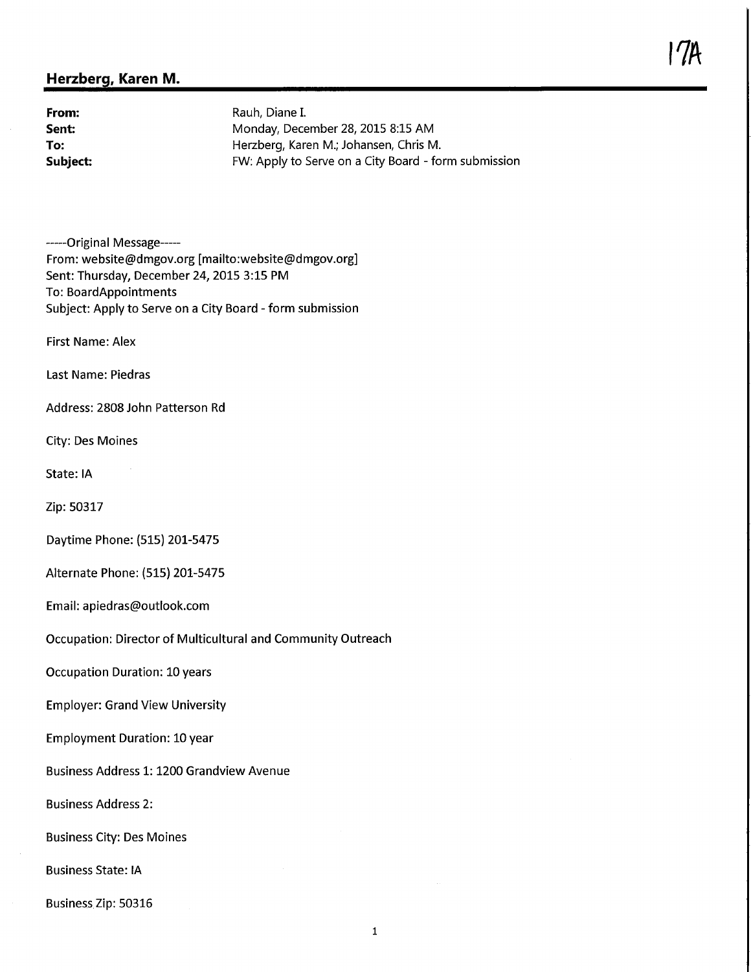## Herzberg, Karen M.

From: Rauh, Diane I.<br> **Sent:** Carrier Monday, December 2014 Monday, December 28, 2015 8:15 AM To: Herzberg, Karen M.; Johansen, Chris M. Subject: FW; Apply to Serve on a City Board - form submission

-----Original Message-----From: website@dmgov.org [mailto:website@dmgov.org] Sent: Thursday, December 24, 2015 3:15 PM To: BoardAppointments Subject: Apply to Serve on a City Board - form submission

First Name: Alex

Last Name: Piedras

Address: 2808 John Patterson Rd

City: Des Moines

State: IA

Zip: 50317

Daytime Phone: (515) 201-5475

Alternate Phone: (515) 201-5475

Email: apiedras@outlook.com

Occupation: Director of Multicultural and Community Outreach

Occupation Duration: 10 years

Employer: Grand View University

Employment Duration: 10 year

Business Address 1: 1200 Grandview Avenue

Business Address 2:

Business City: Des Moines

Business State: IA

Business Zip: 50316